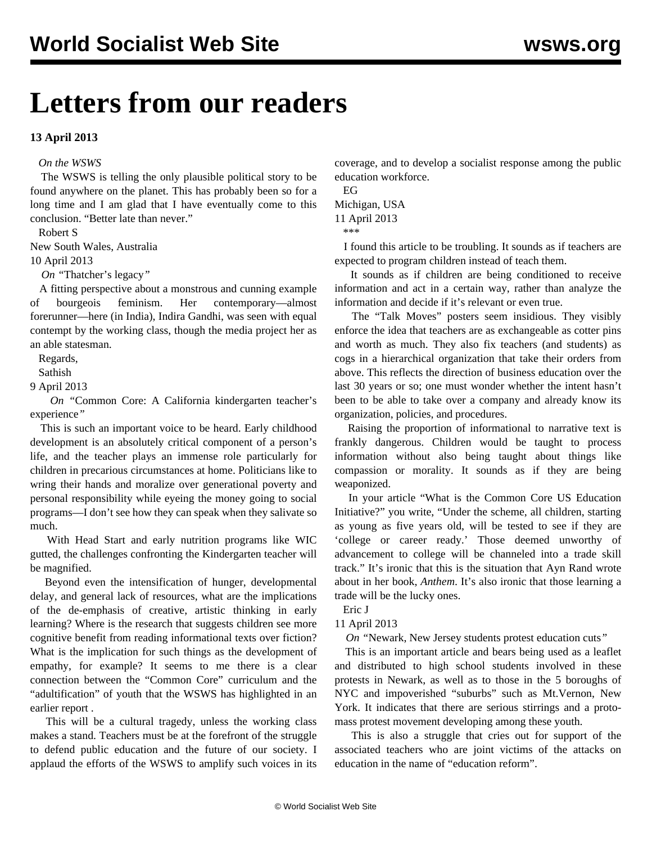# **Letters from our readers**

### **13 April 2013**

#### *On the WSWS*

 The WSWS is telling the only plausible political story to be found anywhere on the planet. This has probably been so for a long time and I am glad that I have eventually come to this conclusion. "Better late than never."

Robert S

New South Wales, Australia

10 April 2013

*On "*[Thatcher's legacy](/en/articles/2013/04/09/pers-a09.html)*"* 

 A fitting perspective about a monstrous and cunning example of bourgeois feminism. Her contemporary—almost forerunner—here (in India), Indira Gandhi, was seen with equal contempt by the working class, though the media project her as an able statesman.

Regards,

Sathish

9 April 2013

 *On "*[Common Core: A California kindergarten teacher's](/en/articles/2013/04/11/kind-a11.html) [experience](/en/articles/2013/04/11/kind-a11.html)*"* 

 This is such an important voice to be heard. Early childhood development is an absolutely critical component of a person's life, and the teacher plays an immense role particularly for children in precarious circumstances at home. Politicians like to wring their hands and moralize over generational poverty and personal responsibility while eyeing the money going to social programs—I don't see how they can speak when they salivate so much.

 With Head Start and early nutrition programs like WIC gutted, the challenges confronting the Kindergarten teacher will be magnified.

 Beyond even the intensification of hunger, developmental delay, and general lack of resources, what are the implications of the de-emphasis of creative, artistic thinking in early learning? Where is the research that suggests children see more cognitive benefit from reading informational texts over fiction? What is the implication for such things as the development of empathy, for example? It seems to me there is a clear connection between the "Common Core" curriculum and the "adultification" of youth that the WSWS has highlighted in an [earlier report](/en/articles/2013/04/10/hsdo-a10.html) .

 This will be a cultural tragedy, unless the working class makes a stand. Teachers must be at the forefront of the struggle to defend public education and the future of our society. I applaud the efforts of the WSWS to amplify such voices in its coverage, and to develop a socialist response among the public education workforce.

 EG Michigan, USA 11 April 2013 \*\*\*

 I found this article to be troubling. It sounds as if teachers are expected to program children instead of teach them.

 It sounds as if children are being conditioned to receive information and act in a certain way, rather than analyze the information and decide if it's relevant or even true.

 The "Talk Moves" posters seem insidious. They visibly enforce the idea that teachers are as exchangeable as cotter pins and worth as much. They also fix teachers (and students) as cogs in a hierarchical organization that take their orders from above. This reflects the direction of business education over the last 30 years or so; one must wonder whether the intent hasn't been to be able to take over a company and already know its organization, policies, and procedures.

 Raising the proportion of informational to narrative text is frankly dangerous. Children would be taught to process information without also being taught about things like compassion or morality. It sounds as if they are being weaponized.

 In your article ["What is the Common Core US Education](/en/articles/2013/04/11/core-a09.html) [Initiative?"](/en/articles/2013/04/11/core-a09.html) you write, "Under the scheme, all children, starting as young as five years old, will be tested to see if they are 'college or career ready.' Those deemed unworthy of advancement to college will be channeled into a trade skill track." It's ironic that this is the situation that Ayn Rand wrote about in her book, *Anthem*. It's also ironic that those learning a trade will be the lucky ones.

Eric J

11 April 2013

*On "*[Newark, New Jersey students protest education cuts](/en/articles/2013/04/11/newa-a11.html)*"* 

 This is an important article and bears being used as a leaflet and distributed to high school students involved in these protests in Newark, as well as to those in the 5 boroughs of NYC and impoverished "suburbs" such as Mt.Vernon, New York. It indicates that there are serious stirrings and a protomass protest movement developing among these youth.

 This is also a struggle that cries out for support of the associated teachers who are joint victims of the attacks on education in the name of "education reform".